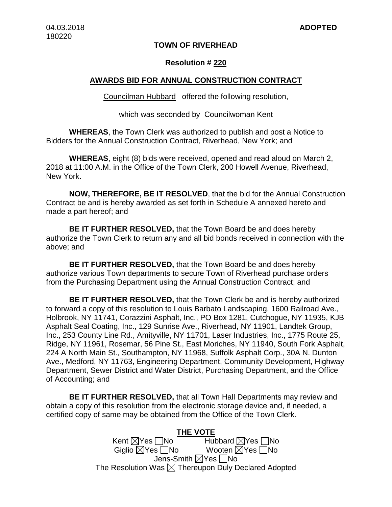# **TOWN OF RIVERHEAD**

# **Resolution # 220**

## **AWARDS BID FOR ANNUAL CONSTRUCTION CONTRACT**

Councilman Hubbard offered the following resolution,

which was seconded by Councilwoman Kent

**WHEREAS**, the Town Clerk was authorized to publish and post a Notice to Bidders for the Annual Construction Contract, Riverhead, New York; and

**WHEREAS**, eight (8) bids were received, opened and read aloud on March 2, 2018 at 11:00 A.M. in the Office of the Town Clerk, 200 Howell Avenue, Riverhead, New York.

**NOW, THEREFORE, BE IT RESOLVED**, that the bid for the Annual Construction Contract be and is hereby awarded as set forth in Schedule A annexed hereto and made a part hereof; and

**BE IT FURTHER RESOLVED,** that the Town Board be and does hereby authorize the Town Clerk to return any and all bid bonds received in connection with the above; and

**BE IT FURTHER RESOLVED,** that the Town Board be and does hereby authorize various Town departments to secure Town of Riverhead purchase orders from the Purchasing Department using the Annual Construction Contract; and

**BE IT FURTHER RESOLVED,** that the Town Clerk be and is hereby authorized to forward a copy of this resolution to Louis Barbato Landscaping, 1600 Railroad Ave., Holbrook, NY 11741, Corazzini Asphalt, Inc., PO Box 1281, Cutchogue, NY 11935, KJB Asphalt Seal Coating, Inc., 129 Sunrise Ave., Riverhead, NY 11901, Landtek Group, Inc., 253 County Line Rd., Amityville, NY 11701, Laser Industries, Inc., 1775 Route 25, Ridge, NY 11961, Rosemar, 56 Pine St., East Moriches, NY 11940, South Fork Asphalt, 224 A North Main St., Southampton, NY 11968, Suffolk Asphalt Corp., 30A N. Dunton Ave., Medford, NY 11763, Engineering Department, Community Development, Highway Department, Sewer District and Water District, Purchasing Department, and the Office of Accounting; and

**BE IT FURTHER RESOLVED,** that all Town Hall Departments may review and obtain a copy of this resolution from the electronic storage device and, if needed, a certified copy of same may be obtained from the Office of the Town Clerk.

> **THE VOTE**<br>Kent ⊠Yes no Hubbard  $\boxtimes$  Yes  $\Box$  No  $Giglio  $\overline{\times}$  Yes  $\overline{\wedge}$  No$ Jens-Smith  $\boxtimes$  Yes  $\Box$  No The Resolution Was  $\boxtimes$  Thereupon Duly Declared Adopted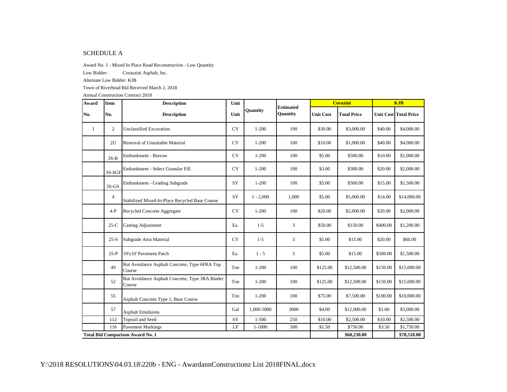## SCHEDULE A

Award No. 1 - Mixed In Place Road Reconstruction - Low Quantity

Low Bidder: Corazzini Asphalt, Inc.

Alternate Low Bidder: KJB

Town of Riverhead Bid Received March 2, 2018

| Award | <b>Item</b>                             | <b>Description</b>                                        | Unit      |                 | <b>Estimated</b> |                  | <b>Corazini</b>    | <b>KJB</b> |                              |
|-------|-----------------------------------------|-----------------------------------------------------------|-----------|-----------------|------------------|------------------|--------------------|------------|------------------------------|
| No.   | No.                                     | <b>Description</b>                                        | Unit      | <b>Ouantity</b> | Quantity         | <b>Unit Cost</b> | <b>Total Price</b> |            | <b>Unit Cost Total Price</b> |
| -1    | $\overline{2}$                          | <b>Unclassified Excavation</b>                            | <b>CY</b> | $1 - 200$       | 100              | \$30.00          | \$3,000.00         | \$40.00    | \$4,000.00                   |
|       | 2U                                      | Removal of Unsuitable Material                            | <b>CY</b> | $1 - 200$       | 100              | \$10.00          | \$1,000.00         | \$40.00    | \$4,000.00                   |
|       | $3S-B$                                  | Embankment - Borrow                                       | <b>CY</b> | $1 - 200$       | 100              | \$5.00           | \$500.00           | \$10.00    | \$1,000.00                   |
|       | 3S-SGF                                  | Embankment - Select Granular Fill                         | <b>CY</b> | $1 - 200$       | 100              | \$3.00           | \$300.00           | \$20.00    | \$2,000.00                   |
|       | $3S-GS$                                 | Embankment - Grading Subgrade                             | SY        | $1 - 200$       | 100              | \$5.00           | \$500.00           | \$15.00    | \$1,500.00                   |
|       | 4                                       | Stabilized Mixed-In-Place Recycled Base Course            | SY        | $1 - 2,000$     | 1,000            | \$5.00           | \$5,000.00         | \$14.00    | \$14,000.00                  |
|       | $4-P$                                   | Recycled Concrete Aggregate                               | <b>CY</b> | $1 - 200$       | 100              | \$20.00          | \$2,000.00         | \$20.00    | \$2,000.00                   |
|       | $25-C$                                  | <b>Casting Adjustment</b>                                 | Ea.       | $1-5$           | 3                | \$50.00          | \$150.00           | \$400.00   | \$1,200.00                   |
|       | $25-S$                                  | Subgrade Area Material                                    | <b>CY</b> | $1 - 5$         | 3                | \$5.00           | \$15.00            | \$20.00    | \$60.00                      |
|       | $25-P$                                  | 10'x10' Pavement Patch                                    | Ea.       | $1 - 5$         | 3                | \$5.00           | \$15.00            | \$500.00   | \$1,500.00                   |
|       | 49                                      | Rut Avoidance Asphalt Concrete, Type 6FRA Top<br>Course   | Ton       | $1 - 200$       | 100              | \$125.00         | \$12,500.00        | \$150.00   | \$15,000.00                  |
|       | 52                                      | Rut Avoidance Asphalt Concrete, Type 3RA Binder<br>Course | Ton       | $1 - 200$       | 100              | \$125.00         | \$12,500.00        | \$150.00   | \$15,000.00                  |
|       | 55                                      | Asphalt Concrete Type 1, Base Course                      | Ton       | $1 - 200$       | 100              | \$75.00          | \$7,500.00         | \$100.00   | \$10,000.00                  |
|       | 57                                      | <b>Asphalt Emulsions</b>                                  | Gal       | 1,000-5000      | 3000             | \$4.00           | \$12,000.00        | \$1.00     | \$3,000.00                   |
|       | 112                                     | Topsoil and Seed                                          | SY        | $1 - 500$       | 250              | \$10.00          | \$2,500.00         | \$10.00    | \$2,500.00                   |
|       | <b>Pavement Markings</b><br>116         |                                                           | LF        | 1-1000          | 500              | \$1.50           | \$750.00           | \$3.50     | \$1,750.00                   |
|       | <b>Total Bid Comparison Award No. 1</b> |                                                           |           |                 |                  |                  | \$60,230.00        |            | \$78,510.00                  |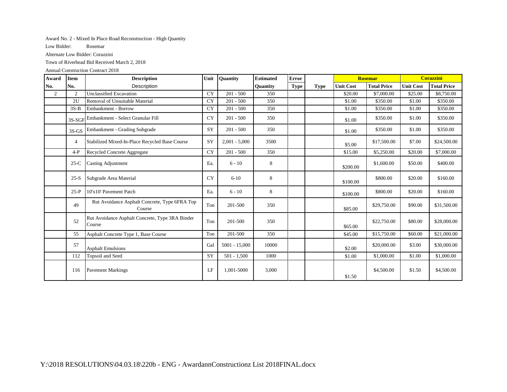### Award No. 2 - Mixed In Place Road Reconstruction - High Quantity

Low Bidder: Rosemar

Alternate Low Bidder: Corazzini

Town of Riverhead Bid Received March 2, 2018

| Award          | <b>Item</b>    | <b>Description</b>                                        | Unit      | Quantity        | <b>Estimated</b> | <b>Error</b> |             |                  | <b>Rosemar</b>     |                  | <b>Corazzini</b>   |
|----------------|----------------|-----------------------------------------------------------|-----------|-----------------|------------------|--------------|-------------|------------------|--------------------|------------------|--------------------|
| No.            | No.            | Description                                               |           |                 | <b>Ouantity</b>  | <b>Type</b>  | <b>Type</b> | <b>Unit Cost</b> | <b>Total Price</b> | <b>Unit Cost</b> | <b>Total Price</b> |
| $\overline{2}$ | $\overline{2}$ | <b>Unclassified Excavation</b>                            | <b>CY</b> | $201 - 500$     | 350              |              |             | \$20.00          | \$7,000.00         | \$25.00          | \$8,750.00         |
|                | 2U             | Removal of Unsuitable Material                            | <b>CY</b> | $201 - 500$     | 350              |              |             | \$1.00           | \$350.00           | \$1.00           | \$350.00           |
|                | $3S-B$         | Embankment - Borrow                                       | <b>CY</b> | $201 - 500$     | 350              |              |             | \$1.00           | \$350.00           | \$1.00           | \$350.00           |
|                |                | 3S-SGF Embankment - Select Granular Fill                  | <b>CY</b> | $201 - 500$     | 350              |              |             | \$1.00           | \$350.00           | \$1.00           | \$350.00           |
|                | $3S-GS$        | Embankment - Grading Subgrade                             | SY        | $201 - 500$     | 350              |              |             | \$1.00           | \$350.00           | \$1.00           | \$350.00           |
|                | 4              | Stabilized Mixed-In-Place Recycled Base Course            | SY        | $2,001 - 5,000$ | 3500             |              |             | \$5.00           | \$17,500.00        | \$7.00           | \$24,500.00        |
|                | $4-P$          | Recycled Concrete Aggregate                               | <b>CY</b> | $201 - 500$     | 350              |              |             | \$15.00          | \$5,250.00         | \$20.00          | \$7,000.00         |
|                | $25-C$         | <b>Casting Adjustment</b>                                 | Ea.       | $6 - 10$        | 8                |              |             | \$200.00         | \$1,600.00         | \$50.00          | \$400.00           |
|                | $25-S$         | Subgrade Area Material                                    | <b>CY</b> | $6 - 10$        | 8                |              |             | \$100.00         | \$800.00           | \$20.00          | \$160.00           |
|                | $25-P$         | 10'x10' Pavement Patch                                    | Ea.       | $6 - 10$        | 8                |              |             | \$100.00         | \$800.00           | \$20.00          | \$160.00           |
|                | 49             | Rut Avoidance Asphalt Concrete, Type 6FRA Top<br>Course   | Ton       | 201-500         | 350              |              |             | \$85.00          | \$29,750.00        | \$90.00          | \$31,500.00        |
|                | 52             | Rut Avoidance Asphalt Concrete, Type 3RA Binder<br>Course | Ton       | 201-500         | 350              |              |             | \$65.00          | \$22,750.00        | \$80.00          | \$28,000.00        |
|                | 55             | Asphalt Concrete Type 1, Base Course                      | Ton       | 201-500         | 350              |              |             | \$45.00          | \$15,750.00        | \$60.00          | \$21,000.00        |
|                | 57             | <b>Asphalt Emulsions</b>                                  | Gal       | $5001 - 15,000$ | 10000            |              |             | \$2.00           | \$20,000.00        | \$3.00           | \$30,000.00        |
|                | 112            | Topsoil and Seed                                          | SY        | $501 - 1,500$   | 1000             |              |             | \$1.00           | \$1,000.00         | \$1.00           | \$1,000.00         |
|                | 116            | <b>Pavement Markings</b>                                  | LF        | 1.001-5000      | 3,000            |              |             | \$1.50           | \$4,500.00         | \$1.50           | \$4,500.00         |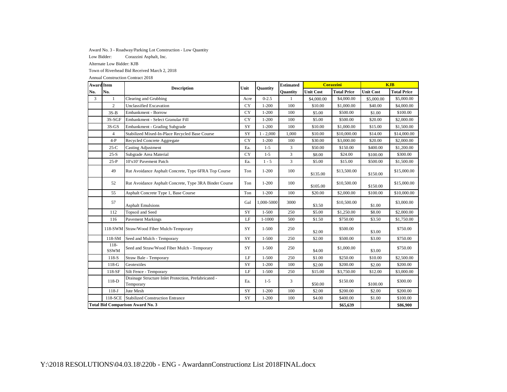### Award No. 3 - Roadway/Parking Lot Construction - Low Quantity

Low Bidder: Corazzini Asphalt, Inc.

Alternate Low Bidder: KJB

Town of Riverhead Bid Received March 2, 2018

| <b>Award Item</b> |                                                    | <b>Description</b>                                                | Unit      | <b>Quantity</b> | <b>Estimated</b> |                  | <b>Corazzini</b>   |                  | <b>KJB</b>         |
|-------------------|----------------------------------------------------|-------------------------------------------------------------------|-----------|-----------------|------------------|------------------|--------------------|------------------|--------------------|
| No.               | No.                                                |                                                                   |           |                 | Quantity         | <b>Unit Cost</b> | <b>Total Price</b> | <b>Unit Cost</b> | <b>Total Price</b> |
| 3                 | 1                                                  | Clearing and Grubbing                                             | Acre      | $0 - 2.5$       | $\mathbf{1}$     | \$4,000.00       | \$4,000.00         | \$5,000.00       | \$5,000.00         |
|                   | $\overline{c}$                                     | <b>Unclassified Excavation</b>                                    | <b>CY</b> | $1 - 200$       | 100              | \$10.00          | \$1,000.00         | \$40.00          | \$4,000.00         |
|                   | $3S-B$                                             | Embankment - Borrow                                               | CY        | $1 - 200$       | 100              | \$5.00           | \$500.00           | \$1.00           | \$100.00           |
|                   | 3S-SGF                                             | Embankment - Select Granular Fill                                 | CY        | $1 - 200$       | 100              | \$5.00           | \$500.00           | \$20.00          | \$2,000.00         |
|                   | $3S-GS$                                            | Embankment - Grading Subgrade                                     | SY        | $1 - 200$       | 100              | \$10.00          | \$1,000.00         | \$15.00          | \$1,500.00         |
|                   | 4                                                  | Stabilized Mixed-In-Place Recycled Base Course                    | SY        | $1 - 2,000$     | 1,000            | \$10.00          | \$10,000.00        | \$14.00          | \$14,000.00        |
|                   | $4-P$                                              | Recycled Concrete Aggregate                                       | <b>CY</b> | $1 - 200$       | 100              | \$30.00          | \$3,000.00         | \$20.00          | \$2,000.00         |
|                   | $25-C$                                             | <b>Casting Adjustment</b>                                         | Ea.       | $1 - 5$         | 3                | \$50.00          | \$150.00           | \$400.00         | \$1,200.00         |
|                   | $25-S$                                             | Subgrade Area Material                                            | CY        | $1 - 5$         | 3                | \$8.00           | \$24.00            | \$100.00         | \$300.00           |
|                   | $25-P$                                             | 10'x10' Pavement Patch                                            | Ea.       | $1 - 5$         | 3                | \$5.00           | \$15.00            | \$500.00         | \$1,500.00         |
|                   | 49                                                 | Rut Avoidance Asphalt Concrete, Type 6FRA Top Course              | Ton       | $1 - 200$       | 100              | \$135.00         | \$13,500.00        | \$150.00         | \$15,000.00        |
|                   | 52                                                 | Rut Avoidance Asphalt Concrete, Type 3RA Binder Course            | Ton       | $1 - 200$       | 100              | \$105.00         | \$10,500.00        | \$150.00         | \$15,000.00        |
|                   | 55                                                 | Asphalt Concrete Type 1, Base Course                              | Ton       | $1 - 200$       | 100              | \$20.00          | \$2,000.00         | \$100.00         | \$10,000.00        |
|                   | 57                                                 | <b>Asphalt Emulsions</b>                                          | Gal       | 1,000-5000      | 3000             | \$3.50           | \$10,500.00        | \$1.00           | \$3,000.00         |
|                   | 112                                                | Topsoil and Seed                                                  | SY        | $1 - 500$       | 250              | \$5.00           | \$1,250.00         | \$8.00           | \$2,000.00         |
|                   | 116                                                | <b>Pavement Markings</b>                                          | LF        | $1 - 1000$      | 500              | \$1.50           | \$750.00           | \$3.50           | \$1,750.00         |
|                   |                                                    | 118-SWM Straw/Wood Fiber Mulch-Temporary                          | SY        | $1 - 500$       | 250              | \$2.00           | \$500.00           | \$3.00           | \$750.00           |
|                   | 118-SM                                             | Seed and Mulch - Temporary                                        | SY        | $1 - 500$       | 250              | \$2.00           | \$500.00           | \$3.00           | \$750.00           |
|                   | $118 -$<br><b>SSWM</b>                             | Seed and Straw/Wood Fiber Mulch - Temporary                       | SY        | $1 - 500$       | 250              | \$4.00           | \$1,000.00         | \$3.00           | \$750.00           |
|                   | 118-S                                              | Straw Bale - Temporary                                            | LF        | $1 - 500$       | 250              | \$1.00           | \$250.00           | \$10.00          | \$2,500.00         |
|                   | $118-G$                                            | Geotextiles                                                       | SY        | $1 - 200$       | 100              | \$2.00           | \$200.00           | \$2.00           | \$200.00           |
|                   | 118-SF                                             | Silt Fence - Temporary                                            | LF        | $1 - 500$       | 250              | \$15.00          | \$3,750.00         | \$12.00          | \$3,000.00         |
|                   | $118-D$                                            | Drainage Structure Inlet Protection, Prefabricated -<br>Temporary | Ea.       | $1 - 5$         | 3                | \$50.00          | \$150.00           | \$100.00         | \$300.00           |
|                   | $118-J$                                            | Jute Mesh                                                         | SY        | $1 - 200$       | 100              | \$2.00           | \$200.00           | \$2.00           | \$200.00           |
|                   | 118-SCE<br><b>Stabilized Construction Entrance</b> |                                                                   |           | $1 - 200$       | 100              | \$4.00           | \$400.00           | \$1.00           | \$100.00           |
|                   |                                                    | <b>Total Bid Comparison Award No. 3</b>                           |           |                 |                  |                  | \$65,639           |                  | \$86,900           |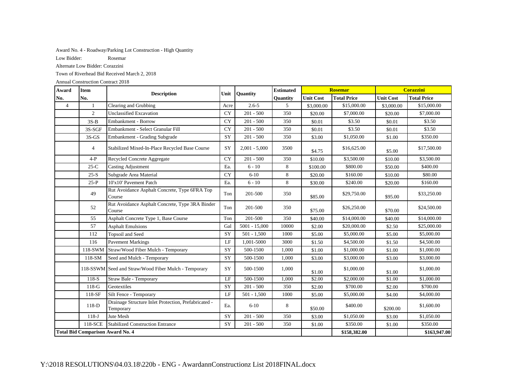Award No. 4 - Roadway/Parking Lot Construction - High Quantity

Low Bidder: Rosemar

Alternate Low Bidder: Corazzini

Town of Riverhead Bid Received March 2, 2018

| Award          | <b>Item</b>                             | <b>Description</b>                                                | Unit      | <b>Quantity</b> | <b>Estimated</b> |                  | <b>Rosemar</b>     |                  | <b>Corazzini</b>   |  |
|----------------|-----------------------------------------|-------------------------------------------------------------------|-----------|-----------------|------------------|------------------|--------------------|------------------|--------------------|--|
| No.            | No.                                     |                                                                   |           |                 | Quantity         | <b>Unit Cost</b> | <b>Total Price</b> | <b>Unit Cost</b> | <b>Total Price</b> |  |
| $\overline{4}$ | $\mathbf{1}$                            | Clearing and Grubbing                                             | Acre      | $2.6 - 5$       | 5                | \$3,000.00       | \$15,000.00        | \$3,000.00       | \$15,000.00        |  |
|                | $\overline{2}$                          | <b>Unclassified Excavation</b>                                    | <b>CY</b> | $201 - 500$     | 350              | \$20.00          | \$7,000.00         | \$20.00          | \$7,000.00         |  |
|                | $3S-B$                                  | Embankment - Borrow                                               | <b>CY</b> | $201 - 500$     | 350              | \$0.01           | \$3.50             | \$0.01           | \$3.50             |  |
|                | 3S-SGF                                  | Embankment - Select Granular Fill                                 | <b>CY</b> | $201 - 500$     | 350              | \$0.01           | \$3.50             | \$0.01           | \$3.50             |  |
|                | $3S-GS$                                 | Embankment - Grading Subgrade                                     | SY        | $201 - 500$     | 350              | \$3.00           | \$1,050.00         | \$1.00           | \$350.00           |  |
|                | $\overline{4}$                          | Stabilized Mixed-In-Place Recycled Base Course                    | SY        | $2,001 - 5,000$ | 3500             | \$4.75           | \$16,625.00        | \$5.00           | \$17,500.00        |  |
|                | $4-P$                                   | Recycled Concrete Aggregate                                       | <b>CY</b> | $201 - 500$     | 350              | \$10.00          | \$3,500.00         | \$10.00          | \$3,500.00         |  |
|                | $25-C$                                  | <b>Casting Adjustment</b>                                         | Ea.       | $6 - 10$        | 8                | \$100.00         | \$800.00           | \$50.00          | \$400.00           |  |
|                | $25-S$                                  | Subgrade Area Material                                            | <b>CY</b> | $6 - 10$        | 8                | \$20.00          | \$160.00           | \$10.00          | \$80.00            |  |
|                | $25-P$                                  | 10'x10' Pavement Patch                                            | Ea.       | $6 - 10$        | 8                | \$30.00          | \$240.00           | \$20.00          | \$160.00           |  |
|                | 49                                      | Rut Avoidance Asphalt Concrete, Type 6FRA Top<br>Course           | Ton       | 201-500         | 350              | \$85.00          | \$29,750.00        | \$95.00          | \$33,250.00        |  |
|                | 52                                      | Rut Avoidance Asphalt Concrete, Type 3RA Binder<br>Course         | Ton       | 201-500         | 350              | \$75.00          | \$26,250.00        | \$70.00          | \$24,500.00        |  |
|                | 55                                      | Asphalt Concrete Type 1, Base Course                              | Ton       | 201-500         | 350              | \$40.00          | \$14,000.00        | \$40.00          | \$14,000.00        |  |
|                | 57                                      | <b>Asphalt Emulsions</b>                                          | Gal       | $5001 - 15,000$ | 10000            | \$2.00           | \$20,000.00        | \$2.50           | \$25,000.00        |  |
|                | 112                                     | <b>Topsoil</b> and Seed                                           | SY        | $501 - 1,500$   | 1000             | \$5.00           | \$5,000.00         | \$5.00           | \$5,000.00         |  |
|                | 116                                     | <b>Pavement Markings</b>                                          | $\rm LF$  | 1,001-5000      | 3000             | \$1.50           | \$4,500.00         | \$1.50           | \$4,500.00         |  |
|                | 118-SWM                                 | Straw/Wood Fiber Mulch - Temporary                                | SY        | 500-1500        | 1,000            | \$1.00           | \$1,000.00         | \$1.00           | \$1,000.00         |  |
|                | 118-SM                                  | Seed and Mulch - Temporary                                        | SY        | 500-1500        | 1,000            | \$3.00           | \$3,000.00         | \$3.00           | \$3,000.00         |  |
|                |                                         | 118-SSWM Seed and Straw/Wood Fiber Mulch - Temporary              | SY        | 500-1500        | 1,000            | \$1.00           | \$1,000.00         | \$1.00           | \$1,000.00         |  |
|                | 118-S                                   | Straw Bale - Temporary                                            | $\rm LF$  | 500-1500        | 1,000            | \$2.00           | \$2,000.00         | \$1.00           | \$1,000.00         |  |
|                | $118-G$                                 | Geotextiles                                                       | SY        | $201 - 500$     | 350              | \$2.00           | \$700.00           | \$2.00           | \$700.00           |  |
|                | 118-SF                                  | Silt Fence - Temporary                                            | $\rm LF$  | $501 - 1,500$   | 1000             | \$5.00           | \$5,000.00         | \$4.00           | \$4,000.00         |  |
|                | 118-D                                   | Drainage Structure Inlet Protection, Prefabricated -<br>Temporary | Ea.       | $6 - 10$        | 8                | \$50.00          | \$400.00           | \$200.00         | \$1,600.00         |  |
|                | $118-J$                                 | Jute Mesh                                                         | SY        | $201 - 500$     | 350              | \$3.00           | \$1,050.00         | \$3.00           | \$1,050.00         |  |
|                | 118-SCE                                 | <b>Stabilized Construction Entrance</b>                           | SY        | $201 - 500$     | 350              | \$1.00           | \$350.00           | \$1.00           | \$350.00           |  |
|                | <b>Total Bid Comparison Award No. 4</b> |                                                                   |           |                 |                  |                  | \$158,382.00       |                  | \$163,947.00       |  |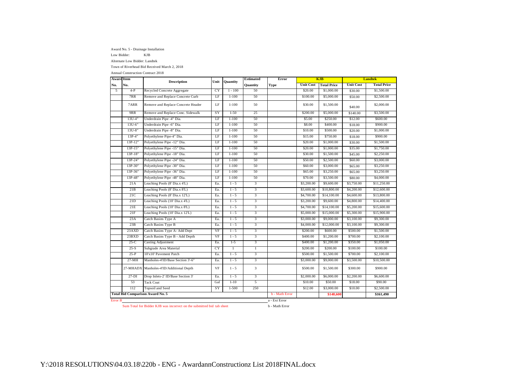Award No. 5 - Drainage Installation

Low Bidder: KJB

Alternate Low Bidder: Landtek

Town of Riverhead Bid Received March 2, 2018

Annual Construction Contract 2018

| <b>Award Item</b> |            | <b>Description</b>                      | Unit      | <b>Quantity</b> | <b>Estimated</b> | Error          |                  | <b>KJB</b>         |                  | <b>Landtek</b>     |
|-------------------|------------|-----------------------------------------|-----------|-----------------|------------------|----------------|------------------|--------------------|------------------|--------------------|
| No.               | No.        |                                         |           |                 | <b>Quantity</b>  | Type           | <b>Unit Cost</b> | <b>Total Price</b> | <b>Unit Cost</b> | <b>Total Price</b> |
| 5                 | $4-P$      | Recycled Concrete Aggregate             | <b>CY</b> | $1 - 100$       | 50               |                | \$20.00          | \$1,000.00         | \$30.00          | \$1,500.00         |
|                   | 7RR        | Remove and Replace Concrete Curb        | LF        | $1 - 100$       | 50               |                | \$100.00         | \$5,000.00         | \$50.00          | \$2,500.00         |
|                   | 7ARR       | Remove and Replace Concrete Header      | LF        | $1 - 100$       | 50               |                | \$30.00          | \$1,500.00         | \$40.00          | \$2,000.00         |
|                   | 9RR        | Remove and Replace Conc. Sidewalk       | SY        | $1-50$          | 25               |                | \$200.00         | \$5,000.00         | \$140.00         | \$3,500.00         |
|                   | 13U-4"     | Underdrain Pipe -4" Dia.                | LF        | $1 - 100$       | 50               |                | \$5.00           | \$250.00           | \$12.00          | \$600.00           |
|                   | $13U - 6'$ | Underdrain Pipe -6" Dia.                | LF        | $1 - 100$       | 50               |                | \$8.00           | \$400.00           | \$18.00          | \$900.00           |
|                   | $13U-8"$   | Underdrain Pipe -8" Dia.                | LF        | $1 - 100$       | 50               |                | \$10.00          | \$500.00           | \$20.00          | \$1,000.00         |
|                   | $13P-4'$   | Polyethylene Pipe-4" Dia.               | LF        | $1 - 100$       | 50               |                | \$15.00          | \$750.00           | \$18.00          | \$900.00           |
|                   | 13P-12"    | Polyethylene Pipe -12" Dia.             | LF        | $1 - 100$       | 50               |                | \$20.00          | \$1,000.00         | \$30.00          | \$1,500.00         |
|                   | 13P-15'    | Polyethylene Pipe -15" Dia.             | LF        | $1 - 100$       | 50               |                | \$20.00          | \$1,000.00         | \$35.00          | \$1,750.00         |
|                   | 13P-18"    | Polyethylene Pipe -18" Dia.             | LF        | $1 - 100$       | 50               |                | \$30.00          | \$1,500.00         | \$45.00          | \$2,250.00         |
|                   | 13P-24'    | Polyethylene Pipe -24" Dia.             | LF        | $1 - 100$       | 50               |                | \$50.00          | \$2,500.00         | \$60.00          | \$3,000.00         |
|                   | 13P-30"    | Polyethylene Pipe -30" Dia.             | LF        | $1 - 100$       | 50               |                | \$60.00          | \$3,000.00         | \$65.00          | \$3,250.00         |
|                   | 13P-36"    | Polyethylene Pipe -36" Dia.             | LF        | $1 - 100$       | 50               |                | \$65.00          | \$3,250.00         | \$65.00          | \$3,250.00         |
|                   | 13P-48"    | Polyethylene Pipe -48" Dia.             | LF        | $1 - 100$       | 50               |                | \$70.00          | \$3,500.00         | \$80.00          | \$4,000.00         |
|                   | 21A        | Leaching Pools (8' Dia.x 4'L)           | Ea.       | $1 - 5$         | 3                |                | \$3,200.00       | \$9,600.00         | \$3,750.00       | \$11,250.00        |
|                   | 21B        | Leaching Pools (8' Dia.x 8'L)           | Ea.       | $1 - 5$         | $\overline{3}$   |                | \$3,600.00       | \$10,800.00        | \$4,200.00       | \$12,600.00        |
|                   | 21C        | Leaching Pools (8' Dia.x 12'L)          | Ea.       | $1 - 5$         | 3                |                | \$4,700.00       | \$14,100.00        | \$4,600.00       | \$13,800.00        |
|                   | 21D        | Leaching Pools (10' Dia.x 4'L)          | Ea.       | $1 - 5$         | 3                |                | \$3,200.00       | \$9,600.00         | \$4,800.00       | \$14,400.00        |
|                   | 21E        | Leaching Pools (10' Dia.x 8'L)          | Ea.       | $1 - 5$         | 3                |                | \$4,700.00       | \$14,100.00        | \$5,200.00       | \$15,600.00        |
|                   | 21F        | Leaching Pools (10' Dia.x 12'L)         | Ea.       | $1 - 5$         | 3                |                | \$5,000.00       | \$15,000.00        | \$5,300.00       | \$15,900.00        |
|                   | 23A        | Catch Basins Type A                     | Ea.       | $1 - 5$         | 3                |                | \$3,000.00       | \$9,000.00         | \$3,100.00       | \$9,300.00         |
|                   | 23B        | Catch Basins Type B                     | Ea.       | $1 - 5$         | 3                |                | \$4,000.00       | \$12,000.00        | \$3,100.00       | \$9,300.00         |
|                   | 23AXD      | Catch Basins Type A- Add Dept           | VF        | $1 - 5$         | 3                |                | \$200.00         | \$600.00           | \$500.00         | \$1,500.00         |
|                   | 23BXD      | Catch Basins Type B - Add Depth         | VF        | $1 - 5$         | 3                |                | \$400.00         | \$1,200.00         | \$700.00         | \$2,100.00         |
|                   | $25-C$     | <b>Casting Adjustment</b>               | Ea.       | $1-5$           | $\overline{3}$   |                | \$400.00         | \$1,200.00         | \$350.00         | \$1,050.00         |
|                   | $25-S$     | Subgrade Area Material                  | <b>CY</b> | $\mathbf{1}$    | $\overline{1}$   |                | \$200.00         | \$200.00           | \$100.00         | \$100.00           |
|                   | $25-P$     | 10'x10' Pavement Patch                  | Ea.       | $1 - 5$         | 3                |                | \$500.00         | \$1,500.00         | \$700.00         | \$2,100.00         |
|                   | $27-MH$    | Manholes-4'ID/Base Section 3'-6"        | Ea.       | $1 - 5$         | 3                |                | \$3,000.00       | \$9,000.00         | \$3,500.00       | \$10,500.00        |
|                   |            | 27-MHADX Manholes-4'ID/Additional Depth | VF        | $1 - 5$         | 3                |                | \$500.00         | \$1,500.00         | \$300.00         | \$900.00           |
|                   | $27-DI$    | Drop Inlets-2' ID/Base Section 3'       | Ea.       | $1 - 5$         | $\overline{3}$   |                | \$2,000.00       | \$6,000.00         | \$2,200.00       | \$6,600.00         |
|                   | 53         | <b>Tack Coat</b>                        | Gal       | $1 - 10$        | 5                |                | \$10.00          | \$50.00            | \$18.00          | \$90.00            |
|                   | 112        | Topsoil and Seed                        | SY        | $1 - 500$       | 250              |                | \$12.00          | \$3,000.00         | \$10.00          | \$2,500.00         |
|                   |            | <b>Total Bid Comparison Award No. 5</b> |           |                 |                  | b - Math Error |                  | \$148,600          |                  | \$161,490          |
| Error B           |            |                                         |           |                 |                  | a - Ext Error  |                  |                    |                  |                    |

Sum Total for Bidder KJB was incorrect on the submitted bid tab sheet b - Math Error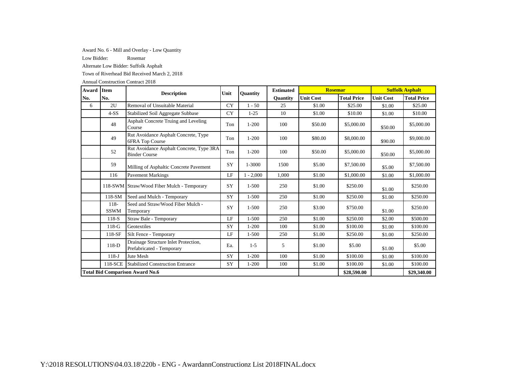Award No. 6 - Mill and Overlay - Low Quantity

Low Bidder: Rosemar

Alternate Low Bidder: Suffolk Asphalt

Town of Riverhead Bid Received March 2, 2018

| Award | <b>Item</b>                                        | <b>Description</b>                                                | Unit      | <b>Ouantity</b> | <b>Estimated</b> | <b>Rosemar</b>   |                    | <b>Suffolk Asphalt</b> |                    |
|-------|----------------------------------------------------|-------------------------------------------------------------------|-----------|-----------------|------------------|------------------|--------------------|------------------------|--------------------|
| No.   | No.                                                |                                                                   |           |                 | <b>Ouantity</b>  | <b>Unit Cost</b> | <b>Total Price</b> | <b>Unit Cost</b>       | <b>Total Price</b> |
| 6     | 2U                                                 | Removal of Unsuitable Material                                    | <b>CY</b> | $1 - 50$        | 25               | \$1.00           | \$25.00            | \$1.00                 | \$25.00            |
|       | $4-SS$                                             | Stabilized Soil Aggregate Subbase                                 | <b>CY</b> | $1 - 25$        | 10               | \$1.00           | \$10.00            | \$1.00                 | \$10.00            |
|       | 48                                                 | <b>Asphalt Concrete Truing and Leveling</b><br>Course             | Ton       | $1 - 200$       | 100              | \$50.00          | \$5,000.00         | \$50.00                | \$5,000.00         |
|       | 49                                                 | Rut Avoidance Asphalt Concrete, Type<br>6FRA Top Course           | Ton       | $1 - 200$       | 100              | \$80.00          | \$8,000.00         | \$90.00                | \$9,000.00         |
|       | 52                                                 | Rut Avoidance Asphalt Concrete, Type 3RA<br><b>Binder Course</b>  | Ton       | $1 - 200$       | 100              | \$50.00          | \$5,000.00         | \$50.00                | \$5,000.00         |
|       | 59                                                 | Milling of Asphaltic Concrete Pavement                            | SY        | 1-3000          | 1500             | \$5.00           | \$7,500.00         | \$5.00                 | \$7,500.00         |
|       | 116                                                | <b>Pavement Markings</b>                                          | LE        | $1 - 2,000$     | 1,000            | \$1.00           | \$1,000.00         | \$1.00                 | \$1,000.00         |
|       |                                                    | 118-SWM Straw/Wood Fiber Mulch - Temporary                        | SY        | $1 - 500$       | 250              | \$1.00           | \$250.00           | \$1.00                 | \$250.00           |
|       | 118-SM                                             | Seed and Mulch - Temporary                                        | SY        | $1 - 500$       | 250              | \$1.00           | \$250.00           | \$1.00                 | \$250.00           |
|       | $118 -$<br><b>SSWM</b>                             | Seed and Straw/Wood Fiber Mulch -<br>Temporary                    | SY        | $1 - 500$       | 250              | \$3.00           | \$750.00           | \$1.00                 | \$250.00           |
|       | $118-S$                                            | Straw Bale - Temporary                                            | LF        | $1 - 500$       | 250              | \$1.00           | \$250.00           | \$2.00                 | \$500.00           |
|       | $118-G$                                            | Geotextiles                                                       | SY        | $1 - 200$       | 100              | \$1.00           | \$100.00           | \$1.00                 | \$100.00           |
|       | $118-SF$                                           | Silt Fence - Temporary                                            | LF        | $1 - 500$       | 250              | \$1.00           | \$250.00           | \$1.00                 | \$250.00           |
|       | $118-D$                                            | Drainage Structure Inlet Protection,<br>Prefabricated - Temporary | Ea.       | $1 - 5$         | 5                | \$1.00           | \$5.00             | \$1.00                 | \$5.00             |
|       | $118-J$                                            | Jute Mesh                                                         | SY        | $1 - 200$       | 100              | \$1.00           | \$100.00           | \$1.00                 | \$100.00           |
|       | 118-SCE<br><b>Stabilized Construction Entrance</b> |                                                                   |           | $1 - 200$       | 100              | \$1.00           | \$100.00           | \$1.00                 | \$100.00           |
|       | <b>Total Bid Comparison Award No.6</b>             |                                                                   |           |                 |                  |                  | \$28,590.00        |                        | \$29,340.00        |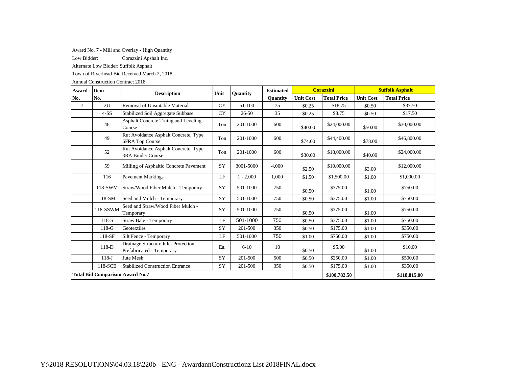Award No. 7 - Mill and Overlay - High Quantity

Low Bidder: Corazzini Apshalt Inc.

Alternate Low Bidder: Suffolk Asphalt

Town of Riverhead Bid Received March 2, 2018

| Award | <b>Item</b>                            | <b>Description</b>                                                | Unit      | <b>Ouantity</b> | <b>Estimated</b> |                  | <b>Corazzini</b>   |                  | <b>Suffolk Asphalt</b> |
|-------|----------------------------------------|-------------------------------------------------------------------|-----------|-----------------|------------------|------------------|--------------------|------------------|------------------------|
| No.   | No.                                    |                                                                   |           |                 | <b>Ouantity</b>  | <b>Unit Cost</b> | <b>Total Price</b> | <b>Unit Cost</b> | <b>Total Price</b>     |
| 7     | 2U                                     | Removal of Unsuitable Material                                    | <b>CY</b> | 51-100          | 75               | \$0.25           | \$18.75            | \$0.50           | \$37.50                |
|       | $4-SS$                                 | Stabilized Soil Aggregate Subbase                                 | <b>CY</b> | $26 - 50$       | 35               | \$0.25           | \$8.75             | \$0.50           | \$17.50                |
|       | 48                                     | Asphalt Concrete Truing and Leveling<br>Course                    | Ton       | 201-1000        | 600              | \$40.00          | \$24,000.00        | \$50.00          | \$30,000.00            |
|       | 49                                     | Rut Avoidance Asphalt Concrete, Type<br>6FRA Top Course           | Ton       | 201-1000        | 600              | \$74.00          | \$44,400.00        | \$78.00          | \$46,800.00            |
|       | 52                                     | Rut Avoidance Asphalt Concrete, Type<br>3RA Binder Course         | Ton       | 201-1000        | 600              | \$30.00          | \$18,000.00        | \$40.00          | \$24,000.00            |
|       | 59                                     | Milling of Asphaltic Concrete Pavement                            | SY        | 3001-5000       | 4,000            | \$2.50           | \$10,000.00        | \$3.00           | \$12,000.00            |
|       | 116                                    | <b>Pavement Markings</b>                                          | LF        | $1 - 2,000$     | 1,000            | \$1.50           | \$1,500.00         | \$1.00           | \$1,000.00             |
|       | 118-SWM                                | Straw/Wood Fiber Mulch - Temporary                                | SY        | 501-1000        | 750              | \$0.50           | \$375.00           | \$1.00           | \$750.00               |
|       | 118-SM                                 | Seed and Mulch - Temporary                                        | SY        | 501-1000        | 750              | \$0.50           | \$375.00           | \$1.00           | \$750.00               |
|       | 118-SSWM                               | Seed and Straw/Wood Fiber Mulch -<br>Temporary                    | SY        | 501-1000        | 750              | \$0.50           | \$375.00           | \$1.00           | \$750.00               |
|       | 118-S                                  | Straw Bale - Temporary                                            | LF        | 501-1000        | 750              | \$0.50           | \$375.00           | \$1.00           | \$750.00               |
|       | $118-G$                                | Geotextiles                                                       | SY        | 201-500         | 350              | \$0.50           | \$175.00           | \$1.00           | \$350.00               |
|       | 118-SF                                 | Silt Fence - Temporary                                            | LF        | 501-1000        | 750              | \$1.00           | \$750.00           | \$1.00           | \$750.00               |
|       | 118-D                                  | Drainage Structure Inlet Protection,<br>Prefabricated - Temporary | Ea.       | $6 - 10$        | 10               | \$0.50           | \$5.00             | \$1.00           | \$10.00                |
|       | $118-J$                                | Jute Mesh                                                         | SY        | 201-500         | 500              | \$0.50           | \$250.00           | \$1.00           | \$500.00               |
|       | 118-SCE                                | <b>Stabilized Construction Entrance</b>                           | SY        | 201-500         | 350              | \$0.50           | \$175.00           | \$1.00           | \$350.00               |
|       | <b>Total Bid Comparison Award No.7</b> |                                                                   |           | \$100,782.50    |                  | \$118,815.00     |                    |                  |                        |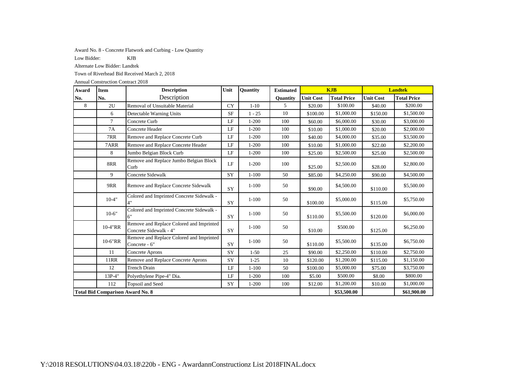Award No. 8 - Concrete Flatwork and Curbing - Low Quantity

Low Bidder: KJB

Alternate Low Bidder: Landtek

Town of Riverhead Bid Received March 2, 2018

| Award | <b>Item</b>                             | <b>Description</b>                                                 | Unit      | <b>Quantity</b> | <b>Estimated</b> | <b>KJB</b>       |                    | <b>Landtek</b>   |                    |
|-------|-----------------------------------------|--------------------------------------------------------------------|-----------|-----------------|------------------|------------------|--------------------|------------------|--------------------|
| No.   | No.                                     | Description                                                        |           |                 | <b>Ouantity</b>  | <b>Unit Cost</b> | <b>Total Price</b> | <b>Unit Cost</b> | <b>Total Price</b> |
| 8     | 2U                                      | Removal of Unsuitable Material                                     | <b>CY</b> | $1-10$          | 5                | \$20.00          | \$100.00           | \$40.00          | \$200.00           |
|       | 6                                       | Detectable Warning Units                                           | <b>SF</b> | $1 - 25$        | 10               | \$100.00         | \$1,000.00         | \$150.00         | \$1,500.00         |
|       | $\tau$                                  | Concrete Curb                                                      | LF        | $1 - 200$       | 100              | \$60.00          | \$6,000.00         | \$30.00          | \$3,000.00         |
|       | 7A                                      | Concrete Header                                                    | LF        | $1 - 200$       | 100              | \$10.00          | \$1,000.00         | \$20.00          | \$2,000.00         |
|       | 7RR                                     | Remove and Replace Concrete Curb                                   | LF        | $1 - 200$       | 100              | \$40.00          | \$4,000.00         | \$35.00          | \$3,500.00         |
|       | 7ARR                                    | Remove and Replace Concrete Header                                 | $\rm LF$  | $1 - 200$       | 100              | \$10.00          | \$1,000.00         | \$22.00          | \$2,200.00         |
|       | 8                                       | Jumbo Belgian Block Curb                                           | LF        | $1 - 200$       | 100              | \$25.00          | \$2,500.00         | \$25.00          | \$2,500.00         |
|       | 8RR                                     | Remove and Replace Jumbo Belgian Block<br>Curb                     | $\rm LF$  | $1 - 200$       | 100              | \$25.00          | \$2,500.00         | \$28.00          | \$2,800.00         |
|       | 9                                       | <b>Concrete Sidewalk</b>                                           | SY        | $1 - 100$       | 50               | \$85.00          | \$4,250.00         | \$90.00          | \$4,500.00         |
|       | 9RR                                     | Remove and Replace Concrete Sidewalk                               | SY        | $1 - 100$       | 50               | \$90.00          | \$4,500.00         | \$110.00         | \$5,500.00         |
|       | $10 - 4"$                               | Colored and Imprinted Concrete Sidewalk -<br>4"                    | SY        | $1 - 100$       | 50               | \$100.00         | \$5,000.00         | \$115.00         | \$5,750.00         |
|       | $10-6"$                                 | Colored and Imprinted Concrete Sidewalk -<br>6"                    | SY        | $1 - 100$       | 50               | \$110.00         | \$5,500.00         | \$120.00         | \$6,000.00         |
|       | 10-4"RR                                 | Remove and Replace Colored and Imprinted<br>Concrete Sidewalk - 4" | SY        | $1 - 100$       | 50               | \$10.00          | \$500.00           | \$125.00         | \$6,250.00         |
|       | 10-6"RR                                 | Remove and Replace Colored and Imprinted<br>Concrete - 6"          | SY        | $1 - 100$       | 50               | \$110.00         | \$5,500.00         | \$135.00         | \$6,750.00         |
|       | 11                                      | Concrete Aprons                                                    | SY        | $1 - 50$        | 25               | \$90.00          | \$2,250.00         | \$110.00         | \$2,750.00         |
|       | <b>11RR</b>                             | Remove and Replace Concrete Aprons                                 | SY        | $1 - 25$        | 10               | \$120.00         | \$1,200.00         | \$115.00         | \$1,150.00         |
|       | 12                                      | <b>Trench Drain</b>                                                | LF        | $1 - 100$       | 50               | \$100.00         | \$5,000.00         | \$75.00          | \$3,750.00         |
|       | 13P-4"                                  | Polyethylene Pipe-4" Dia.                                          | LF        | $1 - 200$       | 100              | \$5.00           | \$500.00           | \$8.00           | \$800.00           |
|       | 112<br>Topsoil and Seed                 |                                                                    | SY        | $1 - 200$       | 100              | \$12.00          | \$1,200.00         | \$10.00          | \$1,000.00         |
|       | <b>Total Bid Comparison Award No. 8</b> |                                                                    |           |                 |                  |                  | \$53,500.00        |                  | \$61,900.00        |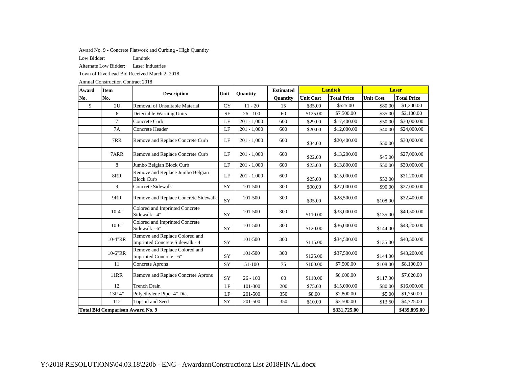Award No. 9 - Concrete Flatwork and Curbing - High Quantity

Low Bidder: Landtek

Alternate Low Bidder: Laser Industries

Town of Riverhead Bid Received March 2, 2018

| Award | <b>Item</b>                             | <b>Description</b>                                                 | Unit      | <b>Ouantity</b> | <b>Estimated</b> |                  | <b>Landtek</b>     |                  | <b>Laser</b>       |
|-------|-----------------------------------------|--------------------------------------------------------------------|-----------|-----------------|------------------|------------------|--------------------|------------------|--------------------|
| No.   | No.                                     |                                                                    |           |                 | <b>Ouantity</b>  | <b>Unit Cost</b> | <b>Total Price</b> | <b>Unit Cost</b> | <b>Total Price</b> |
| 9     | 2U                                      | Removal of Unsuitable Material                                     | <b>CY</b> | $11 - 20$       | 15               | \$35.00          | \$525.00           | \$80.00          | \$1,200.00         |
|       | 6                                       | Detectable Warning Units                                           | <b>SF</b> | $26 - 100$      | 60               | \$125.00         | \$7,500.00         | \$35.00          | \$2,100.00         |
|       | $\tau$                                  | Concrete Curb                                                      | LF        | $201 - 1,000$   | 600              | \$29.00          | \$17,400.00        | \$50.00          | \$30,000.00        |
|       | 7A                                      | Concrete Header                                                    | LF        | $201 - 1,000$   | 600              | \$20.00          | \$12,000.00        | \$40.00          | \$24,000.00        |
|       | 7RR                                     | Remove and Replace Concrete Curb                                   | $\rm LF$  | $201 - 1,000$   | 600              | \$34.00          | \$20,400.00        | \$50.00          | \$30,000.00        |
|       | 7ARR                                    | Remove and Replace Concrete Curb                                   | LF        | $201 - 1,000$   | 600              | \$22.00          | \$13,200.00        | \$45.00          | \$27,000.00        |
|       | 8                                       | Jumbo Belgian Block Curb                                           | LF        | $201 - 1,000$   | 600              | \$23.00          | \$13,800.00        | \$50.00          | \$30,000.00        |
|       | 8RR                                     | Remove and Replace Jumbo Belgian<br><b>Block Curb</b>              | LF        | $201 - 1,000$   | 600              | \$25.00          | \$15,000.00        | \$52.00          | \$31,200.00        |
|       | 9                                       | Concrete Sidewalk                                                  | SY        | 101-500         | 300              | \$90.00          | \$27,000.00        | \$90.00          | \$27,000.00        |
|       | 9RR                                     | Remove and Replace Concrete Sidewalk                               | SY        | 101-500         | 300              | \$95.00          | \$28,500.00        | \$108.00         | \$32,400.00        |
|       | $10-4"$                                 | Colored and Imprinted Concrete<br>Sidewalk - 4"                    | <b>SY</b> | 101-500         | 300              | \$110.00         | \$33,000.00        | \$135.00         | \$40,500.00        |
|       | $10-6"$                                 | Colored and Imprinted Concrete<br>Sidewalk - 6"                    | <b>SY</b> | 101-500         | 300              | \$120.00         | \$36,000.00        | \$144.00         | \$43,200.00        |
|       | 10-4"RR                                 | Remove and Replace Colored and<br>Imprinted Concrete Sidewalk - 4" | SY        | 101-500         | 300              | \$115.00         | \$34,500.00        | \$135.00         | \$40,500.00        |
|       | 10-6"RR                                 | Remove and Replace Colored and<br>Imprinted Concrete - 6"          | SY        | 101-500         | 300              | \$125.00         | \$37,500.00        | \$144.00         | \$43,200.00        |
|       | 11                                      | <b>Concrete Aprons</b>                                             | SY        | 51-100          | 75               | \$100.00         | \$7,500.00         | \$108.00         | \$8,100.00         |
|       | <b>11RR</b>                             | Remove and Replace Concrete Aprons                                 | <b>SY</b> | $26 - 100$      | 60               | \$110.00         | \$6,600.00         | \$117.00         | \$7,020.00         |
|       | 12                                      | <b>Trench Drain</b>                                                | LF        | 101-300         | 200              | \$75.00          | \$15,000.00        | \$80.00          | \$16,000.00        |
|       | 13P-4"                                  | Polyethylene Pipe -4" Dia.                                         | LF        | 201-500         | 350              | \$8.00           | \$2,800.00         | \$5.00           | \$1,750.00         |
|       | Topsoil and Seed<br>112                 |                                                                    | SY        | 201-500         | 350              | \$10.00          | \$3,500.00         | \$13.50          | \$4,725.00         |
|       | <b>Total Bid Comparison Award No. 9</b> |                                                                    |           |                 |                  |                  | \$331,725.00       |                  | \$439,895.00       |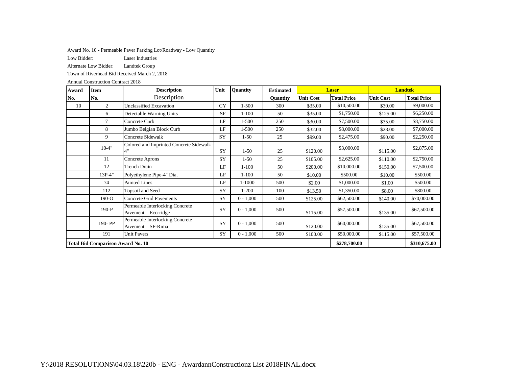Award No. 10 - Permeable Paver Parking Lot/Roadway - Low Quantity

Low Bidder: Laser Industries

Alternate Low Bidder: Landtek Group

Town of Riverhead Bid Received March 2, 2018

| Award                                          | <b>Item</b>                              | <b>Description</b>                                      | Unit      | <b>Ouantity</b> | <b>Estimated</b> |                  | <b>Laser</b>       | <b>Landtek</b>   |                    |
|------------------------------------------------|------------------------------------------|---------------------------------------------------------|-----------|-----------------|------------------|------------------|--------------------|------------------|--------------------|
| No.                                            | No.                                      | Description                                             |           |                 | Quantity         | <b>Unit Cost</b> | <b>Total Price</b> | <b>Unit Cost</b> | <b>Total Price</b> |
| 10                                             | 2                                        | Unclassified Excavation                                 | <b>CY</b> | $1 - 500$       | 300              | \$35.00          | \$10,500.00        | \$30.00          | \$9,000.00         |
|                                                | 6                                        | Detectable Warning Units                                | <b>SF</b> | $1 - 100$       | 50               | \$35.00          | \$1,750.00         | \$125.00         | \$6,250.00         |
|                                                | $\tau$                                   | Concrete Curb                                           | LF        | 1-500           | 250              | \$30.00          | \$7,500.00         | \$35.00          | \$8,750.00         |
|                                                | 8                                        | Jumbo Belgian Block Curb                                | LF        | 1-500           | 250              | \$32.00          | \$8,000.00         | \$28.00          | \$7,000.00         |
|                                                | 9                                        | Concrete Sidewalk                                       | SY        | $1 - 50$        | 25               | \$99.00          | \$2,475.00         | \$90.00          | \$2,250.00         |
|                                                | $10 - 4"$                                | Colored and Imprinted Concrete Sidewalk<br>4"           | SY        | $1 - 50$        | 25               | \$120.00         | \$3,000.00         | \$115.00         | \$2,875.00         |
|                                                | 11                                       | Concrete Aprons                                         | SY        | $1 - 50$        | 25               | \$105.00         | \$2,625.00         | \$110.00         | \$2,750.00         |
|                                                | 12                                       | <b>Trench Drain</b>                                     | LF        | $1 - 100$       | 50               | \$200.00         | \$10,000.00        | \$150.00         | \$7,500.00         |
|                                                | 13P-4"                                   | Polyethylene Pipe-4" Dia.                               | LF        | $1 - 100$       | 50               | \$10.00          | \$500.00           | \$10.00          | \$500.00           |
|                                                | 74                                       | <b>Painted Lines</b>                                    | LF        | 1-1000          | 500              | \$2.00           | \$1,000.00         | \$1.00           | \$500.00           |
|                                                | 112                                      | Topsoil and Seed                                        | SY        | $1 - 200$       | 100              | \$13.50          | \$1,350.00         | \$8.00           | \$800.00           |
|                                                | $190 - O$                                | <b>Concrete Grid Pavements</b>                          | SY        | $0 - 1,000$     | 500              | \$125.00         | \$62,500.00        | \$140.00         | \$70,000.00        |
|                                                | $190-P$                                  | Permeable Interlocking Concrete<br>Pavement – Eco-ridge | SY        | $0 - 1,000$     | 500              | \$115.00         | \$57,500.00        | \$135.00         | \$67,500.00        |
|                                                | 190-PP                                   | Permeable Interlocking Concrete<br>Pavement - SF-Rima   | <b>SY</b> | $0 - 1,000$     | 500              | \$120.00         | \$60,000.00        | \$135.00         | \$67,500.00        |
| SY<br>$0 - 1,000$<br><b>Unit Pavers</b><br>191 |                                          |                                                         |           |                 | 500              | \$100.00         | \$50,000.00        | \$115.00         | \$57,500.00        |
|                                                | <b>Total Bid Comparison Award No. 10</b> |                                                         |           | \$278,700.00    |                  | \$310,675.00     |                    |                  |                    |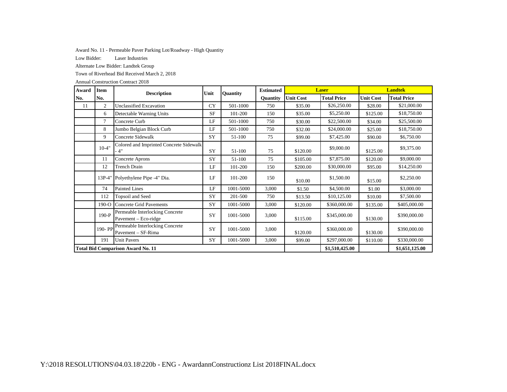Award No. 11 - Permeable Paver Parking Lot/Roadway - High Quantity

Low Bidder: Laser Industries

Alternate Low Bidder: Landtek Group

Town of Riverhead Bid Received March 2, 2018

| Award | <b>Item</b>                              | <b>Description</b>                                      | Unit      | <b>Quantity</b> | <b>Estimated</b> |                  | <b>Laser</b>       | <b>Landtek</b>   |                    |  |
|-------|------------------------------------------|---------------------------------------------------------|-----------|-----------------|------------------|------------------|--------------------|------------------|--------------------|--|
| No.   | No.                                      |                                                         |           |                 | Quantity         | <b>Unit Cost</b> | <b>Total Price</b> | <b>Unit Cost</b> | <b>Total Price</b> |  |
| 11    | $\mathfrak{2}$                           | <b>Unclassified Excavation</b>                          | <b>CY</b> | 501-1000        | 750              | \$35.00          | \$26,250.00        | \$28.00          | \$21,000.00        |  |
|       | 6                                        | Detectable Warning Units                                | <b>SF</b> | 101-200         | 150              | \$35.00          | \$5,250.00         | \$125.00         | \$18,750.00        |  |
|       | 7                                        | Concrete Curb                                           | LF        | 501-1000        | 750              | \$30.00          | \$22,500.00        | \$34.00          | \$25,500.00        |  |
|       | 8                                        | Jumbo Belgian Block Curb                                | LF        | 501-1000        | 750              | \$32.00          | \$24,000.00        | \$25.00          | \$18,750.00        |  |
|       | 9                                        | Concrete Sidewalk                                       | SY        | 51-100          | 75               | \$99.00          | \$7,425.00         | \$90.00          | \$6,750.00         |  |
|       | $10-4"$                                  | Colored and Imprinted Concrete Sidewalk<br>$-4"$        | SY        | 51-100          | 75               | \$120.00         | \$9,000.00         | \$125.00         | \$9,375.00         |  |
|       | 11                                       | Concrete Aprons                                         | SY        | 51-100          | 75               | \$105.00         | \$7,875.00         | \$120.00         | \$9,000.00         |  |
|       | 12                                       | Trench Drain                                            | LF        | 101-200         | 150              | \$200.00         | \$30,000.00        | \$95.00          | \$14,250.00        |  |
|       | 13P-4"                                   | Polyethylene Pipe -4" Dia.                              | LF        | 101-200         | 150              | \$10.00          | \$1,500.00         | \$15.00          | \$2,250.00         |  |
|       | 74                                       | <b>Painted Lines</b>                                    | LF        | 1001-5000       | 3,000            | \$1.50           | \$4,500.00         | \$1.00           | \$3,000.00         |  |
|       | 112                                      | Topsoil and Seed                                        | SY        | 201-500         | 750              | \$13.50          | \$10,125.00        | \$10.00          | \$7,500.00         |  |
|       | $190 - O$                                | Concrete Grid Pavements                                 | SY        | 1001-5000       | 3,000            | \$120.00         | \$360,000.00       | \$135.00         | \$405,000.00       |  |
|       | $190-P$                                  | Permeable Interlocking Concrete<br>Pavement – Eco-ridge | SY        | 1001-5000       | 3,000            | \$115.00         | \$345,000.00       | \$130.00         | \$390,000.00       |  |
|       | 190-PP                                   | Permeable Interlocking Concrete<br>Pavement - SF-Rima   | SY        | 1001-5000       | 3,000            | \$120.00         | \$360,000.00       | \$130.00         | \$390,000.00       |  |
|       | 191<br><b>Unit Pavers</b>                |                                                         |           | 1001-5000       | 3,000            | \$99.00          | \$297,000.00       | \$110.00         | \$330,000.00       |  |
|       | <b>Total Bid Comparison Award No. 11</b> |                                                         |           |                 |                  |                  | \$1,510,425.00     |                  | \$1,651,125.00     |  |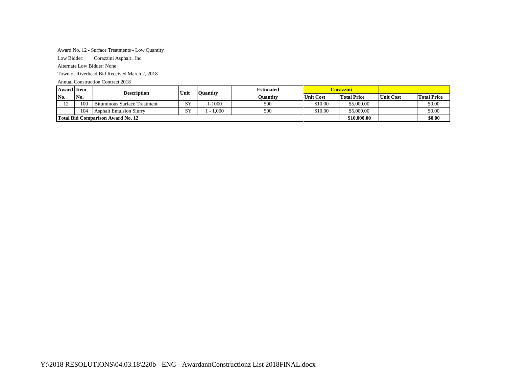## Award No. 12 - Surface Treatments - Low Quantity

Low Bidder: Corazzini Asphalt , Inc.

Alternate Low Bidder: None

Town of Riverhead Bid Received March 2, 2018

| <b>Award Item</b> |                                          | <b>Description</b>                  | Unit       |         | <b>Estimated</b><br><b>Quantity</b> |                  | Corazzini-         |                  |                    |
|-------------------|------------------------------------------|-------------------------------------|------------|---------|-------------------------------------|------------------|--------------------|------------------|--------------------|
| IN <sub>0</sub> . | No.                                      |                                     |            |         | Ouantity                            | <b>Unit Cost</b> | <b>Total Price</b> | <b>Unit Cost</b> | <b>Total Price</b> |
| $\sim$<br>∸       | 100                                      | <b>Bituminous Surface Treatment</b> | C V<br>ل ت | $-1000$ | 500                                 | \$10.00          | \$5,000.00         |                  | \$0.00             |
|                   | 10 <sup>2</sup>                          | <b>Asphalt Emulsion Slurry</b>      | C V<br>נ כ | 1.000   | 500                                 | \$10.00          | \$5,000.00         |                  | \$0.00             |
|                   | <b>Total Bid Comparison Award No. 12</b> |                                     |            |         |                                     |                  | \$10,000.00        |                  | \$0.00             |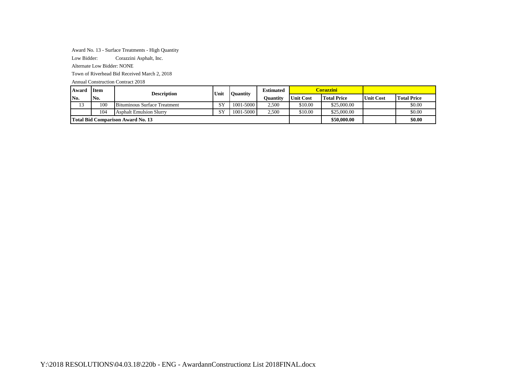### Award No. 13 - Surface Treatments - High Quantity

Low Bidder: Corazzini Asphalt, Inc.

Alternate Low Bidder: NONE

Town of Riverhead Bid Received March 2, 2018

| Award        | <b>Item</b> | <b>Description</b>                       | Unit                            | <b>Ouantity</b> | <b>Estimated</b> |                  | Corazzini-         |                  |                    |
|--------------|-------------|------------------------------------------|---------------------------------|-----------------|------------------|------------------|--------------------|------------------|--------------------|
| No.          | No.         |                                          |                                 |                 | Ouantitv         | <b>Unit Cost</b> | <b>Total Price</b> | <b>Unit Cost</b> | <b>Total Price</b> |
| $\sim$<br>13 | 100         | Bituminous Surface Treatment             | $\mathbf{C} \mathbf{V}$<br>لا ج | 1001-5000       | 2,500            | \$10.00          | \$25,000.00        |                  | \$0.00             |
|              | 104         | <b>Asphalt Emulsion Slurry</b>           | SY                              | 1001-5000       | 2.500            | \$10.00          | \$25,000.00        |                  | \$0.00             |
|              |             | <b>Total Bid Comparison Award No. 13</b> |                                 |                 |                  |                  | \$50,000.00        |                  | \$0.00             |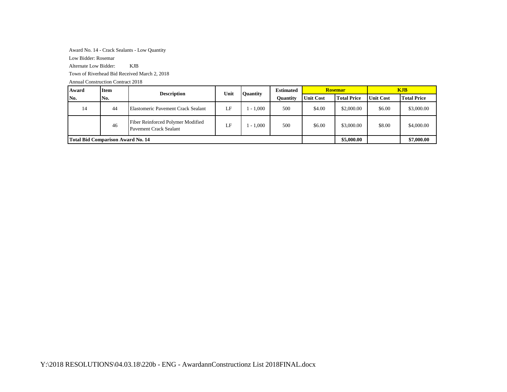Award No. 14 - Crack Sealants - Low Quantity

Low Bidder: Rosemar

Alternate Low Bidder: KJB

Town of Riverhead Bid Received March 2, 2018

| Award                                    | <b>Item</b> | <b>Description</b>                                          | Unit | Quantity   | <b>Estimated</b> |                  | <b>Rosemar</b>     | <b>KJB</b>       |                    |
|------------------------------------------|-------------|-------------------------------------------------------------|------|------------|------------------|------------------|--------------------|------------------|--------------------|
| No.                                      | No.         |                                                             |      |            | Ouantity         | <b>Unit Cost</b> | <b>Total Price</b> | <b>Unit Cost</b> | <b>Total Price</b> |
| 14                                       | 44          | Elastomeric Pavement Crack Sealant                          | LF   | $-1.000$   | 500              | \$4.00           | \$2,000.00         | \$6.00           | \$3,000.00         |
|                                          | 46          | Fiber Reinforced Polymer Modified<br>Pavement Crack Sealant | ĹF   | $-1.000$   | 500              | \$6.00           | \$3,000.00         | \$8.00           | \$4,000.00         |
| <b>Total Bid Comparison Award No. 14</b> |             |                                                             |      | \$5,000.00 |                  | \$7,000.00       |                    |                  |                    |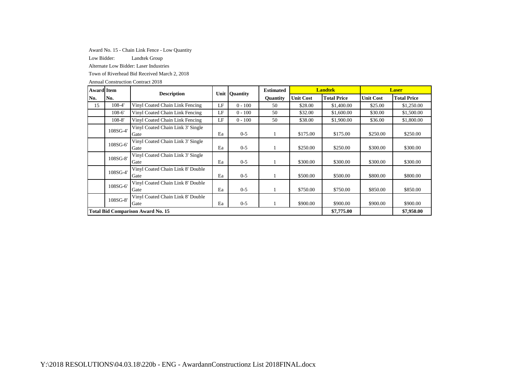Award No. 15 - Chain Link Fence - Low Quantity

Low Bidder: Landtek Group

Alternate Low Bidder: Laser Industries

Town of Riverhead Bid Received March 2, 2018

| <b>Award</b> Item |                                                       | <b>Description</b>                        |    | Unit Quantity | <b>Estimated</b> |                  | <b>Landtek</b>     |                  | <b>Laser</b>       |
|-------------------|-------------------------------------------------------|-------------------------------------------|----|---------------|------------------|------------------|--------------------|------------------|--------------------|
| No.               | No.                                                   |                                           |    |               | Quantity         | <b>Unit Cost</b> | <b>Total Price</b> | <b>Unit Cost</b> | <b>Total Price</b> |
| 15                | 108-4'                                                | Vinyl Coated Chain Link Fencing           | LF | $0 - 100$     | 50               | \$28.00          | \$1,400.00         | \$25.00          | \$1,250.00         |
|                   | $108-6'$                                              | Vinyl Coated Chain Link Fencing           | LF | $0 - 100$     | 50               | \$32.00          | \$1,600.00         | \$30.00          | \$1,500.00         |
|                   | $108 - 8'$                                            | Vinyl Coated Chain Link Fencing           | LF | $0 - 100$     | 50               | \$38.00          | \$1,900.00         | \$36.00          | \$1,800.00         |
|                   | 108SG-4'                                              | Vinyl Coated Chain Link 3' Single<br>Gate | Ea | $0 - 5$       |                  | \$175.00         | \$175.00           | \$250.00         | \$250.00           |
|                   | 108SG-6'                                              | Vinyl Coated Chain Link 3' Single<br>Gate | Ea | $0 - 5$       |                  | \$250.00         | \$250.00           | \$300.00         | \$300.00           |
|                   | 108SG-8'                                              | Vinyl Coated Chain Link 3' Single<br>Gate | Ea | $0 - 5$       |                  | \$300.00         | \$300.00           | \$300.00         | \$300.00           |
|                   | 108SG-4'                                              | Vinyl Coated Chain Link 8' Double<br>Gate | Ea | $0 - 5$       |                  | \$500.00         | \$500.00           | \$800.00         | \$800.00           |
|                   | 108SG-6'                                              | Vinyl Coated Chain Link 8' Double<br>Gate | Ea | $0 - 5$       |                  | \$750.00         | \$750.00           | \$850.00         | \$850.00           |
|                   | Vinyl Coated Chain Link 8' Double<br>108SG-8'<br>Gate |                                           |    | $0 - 5$       |                  | \$900.00         | \$900.00           | \$900.00         | \$900.00           |
|                   | <b>Total Bid Comparison Award No. 15</b>              |                                           |    |               |                  |                  |                    |                  | \$7,950.00         |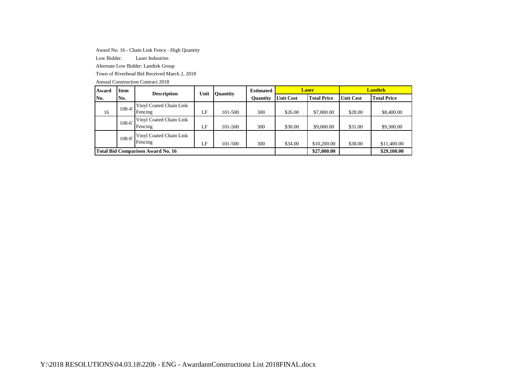Award No. 16 - Chain Link Fence - High Quantity

Low Bidder: Laser Industries

Alternate Low Bidder: Landtek Group

Town of Riverhead Bid Received March 2, 2018

| Award | <b>Item</b>                              | <b>Description</b>                 | Unit | Ouantity | <b>Estimated</b> |                  | <b>Laser</b>       |                  | <b>Landtek</b>     |
|-------|------------------------------------------|------------------------------------|------|----------|------------------|------------------|--------------------|------------------|--------------------|
| No.   | No.                                      |                                    |      |          | <b>Ouantity</b>  | <b>Unit Cost</b> | <b>Total Price</b> | <b>Unit Cost</b> | <b>Total Price</b> |
| 16    | $108 - 4'$                               | Vinyl Coated Chain Link<br>Fencing | LF.  | 101-500  | 300              | \$26.00          | \$7,800.00         | \$28.00          | \$8,400.00         |
|       | $108 - 6'$                               | Vinyl Coated Chain Link<br>Fencing | LF   | 101-500  | 300              | \$30.00          | \$9,000.00         | \$31.00          | \$9,300.00         |
|       | $108 - 8'$                               | Vinyl Coated Chain Link<br>Fencing | LF   | 101-500  | 300              | \$34.00          | \$10,200.00        | \$38.00          | \$11,400.00        |
|       | <b>Total Bid Comparison Award No. 16</b> |                                    |      |          |                  |                  | \$27,000.00        |                  | \$29,100.00        |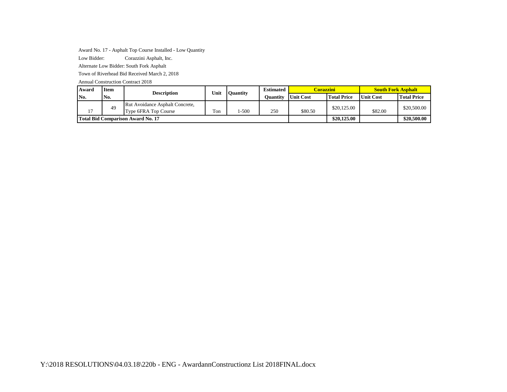Award No. 17 - Asphalt Top Course Installed - Low Quantity

Low Bidder: Corazzini Asphalt, Inc.

Alternate Low Bidder: South Fork Asphalt

Town of Riverhead Bid Received March 2, 2018

| Award | <b>Item</b>                       | <b>Description</b>                                      | Unit | <b>Ouantity</b> | <b>Estimated</b> | Corazzini        |                    | <b>South Fork Asphalt</b> |                    |
|-------|-----------------------------------|---------------------------------------------------------|------|-----------------|------------------|------------------|--------------------|---------------------------|--------------------|
| No.   | No.                               |                                                         |      |                 | Ouantitv         | <b>Unit Cost</b> | <b>Total Price</b> | <b>Unit Cost</b>          | <b>Total Price</b> |
|       | 49                                | Rut Avoidance Asphalt Concrete,<br>Type 6FRA Top Course | Ton  | $-500$          | 250              | \$80.50          | \$20,125,00        | \$82.00                   | \$20,500.00        |
|       | Total Bid Comparison Award No. 17 |                                                         |      |                 |                  |                  | \$20,125,00        |                           | \$20,500,00        |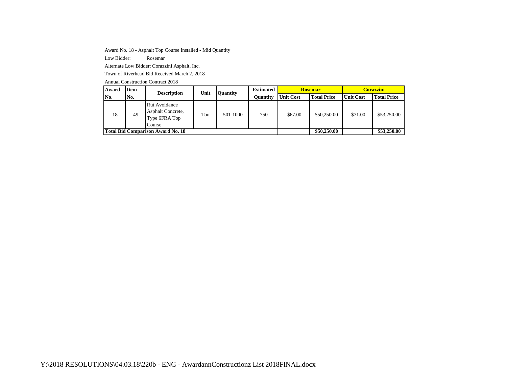Award No. 18 - Asphalt Top Course Installed - Mid Quantity

Low Bidder: Rosemar

Alternate Low Bidder: Corazzini Asphalt, Inc.

Town of Riverhead Bid Received March 2, 2018

| Award | <b>Item</b>                              | <b>Description</b>                                            | Unit | Quantity | <b>Estimated</b> |                  | Rosemar            | <b>Corazzini</b> |                    |
|-------|------------------------------------------|---------------------------------------------------------------|------|----------|------------------|------------------|--------------------|------------------|--------------------|
| No.   | No.                                      |                                                               |      |          | Ouantitv         | <b>Unit Cost</b> | <b>Total Price</b> | <b>Unit Cost</b> | <b>Total Price</b> |
| 18    | 49                                       | Rut Avoidance<br>Asphalt Concrete,<br>Type 6FRA Top<br>Course | Ton  | 501-1000 | 750              | \$67.00          | \$50,250.00        | \$71.00          | \$53,250.00        |
|       | <b>Total Bid Comparison Award No. 18</b> |                                                               |      |          |                  |                  | \$50,250,00        |                  | \$53,250.00        |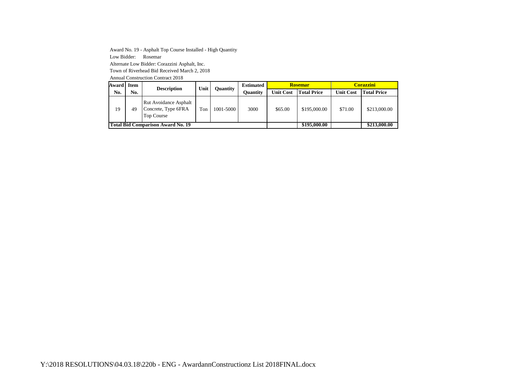Award No. 19 - Asphalt Top Course Installed - High Quantity Low Bidder: Rosemar Alternate Low Bidder: Corazzini Asphalt, Inc. Town of Riverhead Bid Received March 2, 2018 Annual Construction Contract 2018

**Award Item No. No. Description Unit Quantity Estimated Quantity Rosemar Corazzini Unit Cost Total Price Unit Cost Total Price** 19 49 Rut Avoidance Asphalt Concrete, Type 6FRA Top Course Ton 1001-5000 3000 \$65.00 \$195,000.00 \$71.00 \$213,000.00 **Total Bid Comparison Award No. 19 <b>b b comparison Award No. 19 b comparison \$213,000.00 \$213,000.00**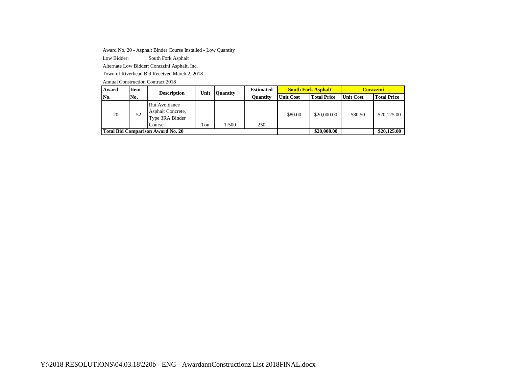Award No. 20 - Asphalt Binder Course Installed - Low Quantity

Low Bidder: South Fork Asphalt

Alternate Low Bidder: Corazzini Asphalt, Inc.

Town of Riverhead Bid Received March 2, 2018

| Award | <b>Item</b> | <b>Description</b>                                              | Unit | <b>Ouantity</b> | <b>Estimated</b> |                  | <b>South Fork Asphalt</b> | Corazzini.       |                    |
|-------|-------------|-----------------------------------------------------------------|------|-----------------|------------------|------------------|---------------------------|------------------|--------------------|
| No.   | No.         |                                                                 |      |                 | <b>Ouantity</b>  | <b>Unit Cost</b> | <b>Total Price</b>        | <b>Unit Cost</b> | <b>Total Price</b> |
| 20    | 52          | Rut Avoidance<br>Asphalt Concrete,<br>Type 3RA Binder<br>Course | Ton  | l-500           | 250              | \$80.00          | \$20,000.00               | \$80.50          | \$20,125.00        |
|       |             | Total Bid Comparison Award No. 20                               |      |                 | \$20,000.00      |                  | \$20,125.00               |                  |                    |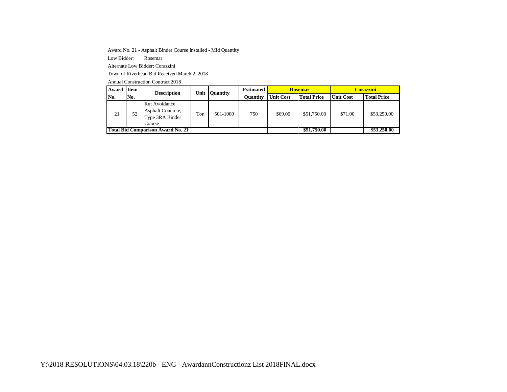Award No. 21 - Asphalt Binder Course Installed - Mid Quantity

Low Bidder: Rosemar

Alternate Low Bidder: Corazzini

Town of Riverhead Bid Received March 2, 2018

| Award | <b>Item</b>                       | <b>Description</b>                                              | Unit | <b>Quantity</b> | <b>Estimated</b> |                  | <b>Rosemar</b>     | <b>Corazzini</b> |                    |  |
|-------|-----------------------------------|-----------------------------------------------------------------|------|-----------------|------------------|------------------|--------------------|------------------|--------------------|--|
| No.   | No.                               |                                                                 |      |                 | Ouantity         | <b>Unit Cost</b> | <b>Total Price</b> | <b>Unit Cost</b> | <b>Total Price</b> |  |
| 21    | 52                                | Rut Avoidance<br>Asphalt Concrete,<br>Type 3RA Binder<br>Course | Ton  | 501-1000        | 750              | \$69.00          | \$51,750.00        | \$71.00          | \$53,250.00        |  |
|       | Total Bid Comparison Award No. 21 |                                                                 |      |                 |                  |                  | \$51,750.00        |                  | \$53,250.00        |  |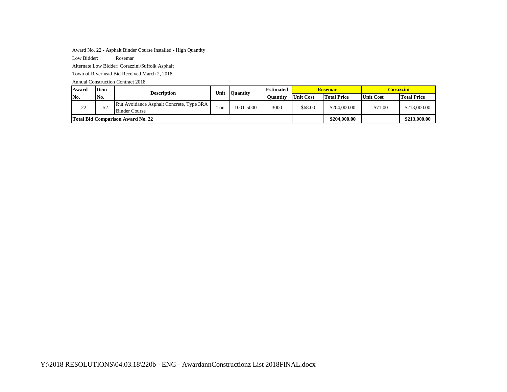Award No. 22 - Asphalt Binder Course Installed - High Quantity

Low Bidder: Rosemar

Alternate Low Bidder: Corazzini/Suffolk Asphalt

Town of Riverhead Bid Received March 2, 2018

| Award | <b>Item</b> | <b>Description</b>                                               | Unit | <b>Quantity</b> | <b>Estimated</b> | <b>Rosemar</b>   |                    | Corazzini-       |                    |
|-------|-------------|------------------------------------------------------------------|------|-----------------|------------------|------------------|--------------------|------------------|--------------------|
| No.   | No.         |                                                                  |      |                 | Ouantity         | <b>Unit Cost</b> | <b>Total Price</b> | <b>Unit Cost</b> | <b>Total Price</b> |
| 22    | 52          | Rut Avoidance Asphalt Concrete, Type 3RA<br><b>Binder Course</b> | Ton  | 1001-5000       | 3000             | \$68.00          | \$204,000.00       | \$71.00          | \$213,000.00       |
|       |             | <b>Total Bid Comparison Award No. 22</b>                         |      |                 |                  |                  | \$204,000.00       |                  | \$213,000.00       |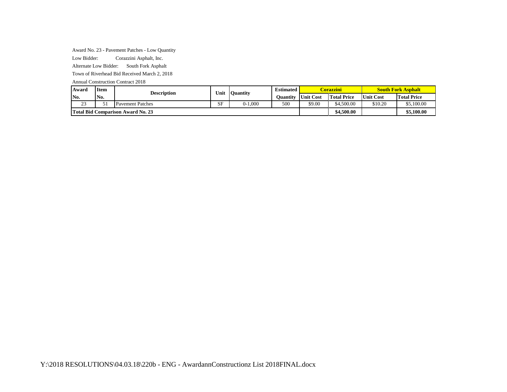Award No. 23 - Pavement Patches - Low Quantity

Low Bidder: Corazzini Asphalt, Inc.

Alternate Low Bidder: South Fork Asphalt

Town of Riverhead Bid Received March 2, 2018

| <b>Award</b>  | <b>Item</b> | <b>Description</b>                       | Unit | <b>Quantity</b> | <b>Estimated</b> |           | <b>Corazzini</b>   | <b>South Fork Asphalt</b> |                    |
|---------------|-------------|------------------------------------------|------|-----------------|------------------|-----------|--------------------|---------------------------|--------------------|
| No.           | No.         |                                          |      |                 | <b>Duantity</b>  | Unit Cost | <b>Total Price</b> | Unit Cost                 | <b>Total Price</b> |
| $\sim$<br>ر ب |             | <b>Pavement Patches</b>                  | SF   | $0-1.000$       | 500              | \$9.00    | \$4,500.00         | \$10.20                   | \$5,100.00         |
|               |             | <b>Total Bid Comparison Award No. 23</b> |      |                 |                  |           | \$4,500.00         |                           | \$5.100.00         |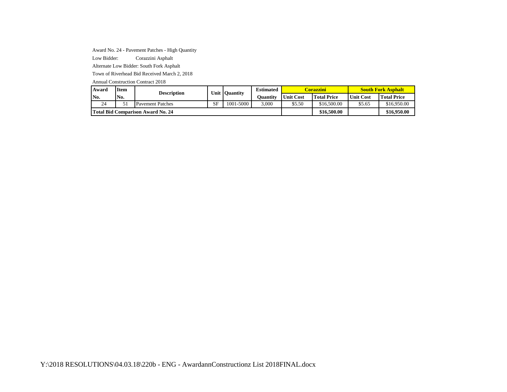Award No. 24 - Pavement Patches - High Quantity

Low Bidder: Corazzini Asphalt

Alternate Low Bidder: South Fork Asphalt

Town of Riverhead Bid Received March 2, 2018

| Award | <b>Item</b>                       | Description             | Unit<br><b>Quantity</b> |           | <b>Estimated</b> |                  | <mark>Corazzini'</mark> | <b>South Fork Asphalt</b> |                    |  |
|-------|-----------------------------------|-------------------------|-------------------------|-----------|------------------|------------------|-------------------------|---------------------------|--------------------|--|
| No.   | No.                               |                         |                         |           | Ouantitv         | <b>Unit Cost</b> | <b>Total Price</b>      | <b>Unit Cost</b>          | <b>Total Price</b> |  |
| 24    | 51                                | <b>Pavement Patches</b> | <b>SF</b>               | 1001-5000 | 3.000            | \$5.50           | \$16,500.00             | \$5.65                    | \$16,950.00        |  |
|       | Total Bid Comparison Award No. 24 |                         |                         |           |                  |                  | \$16,500.00             |                           | \$16,950.00        |  |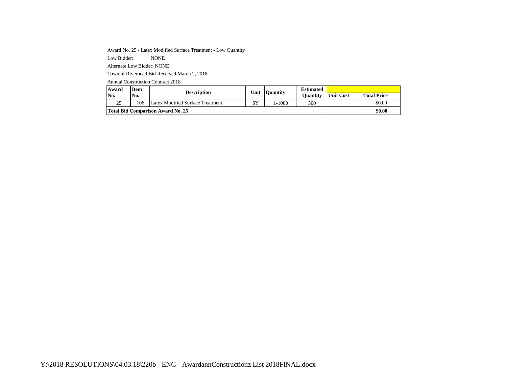Award No. 25 - Latex Modified Surface Treatment - Low Quantity

Low Bidder: NONE

Alternate Low Bidder: NONE

Town of Riverhead Bid Received March 2, 2018

| Award | Item | Description                              | Unit                           | <b>Ouantity</b> | <b>Estimated</b> |                  |                    |  |
|-------|------|------------------------------------------|--------------------------------|-----------------|------------------|------------------|--------------------|--|
| No.   | No.  |                                          |                                |                 | Ouantitv         | <b>Unit Cost</b> | <b>Total Price</b> |  |
| 25    | 106  | Latex Modified Surface Treatment         | $\mathbf{C} \mathbf{V}$<br>1 ت | $-1000$         | 500              |                  | \$0.00             |  |
|       |      | <b>Total Bid Comparison Award No. 25</b> |                                |                 |                  |                  | \$0.00             |  |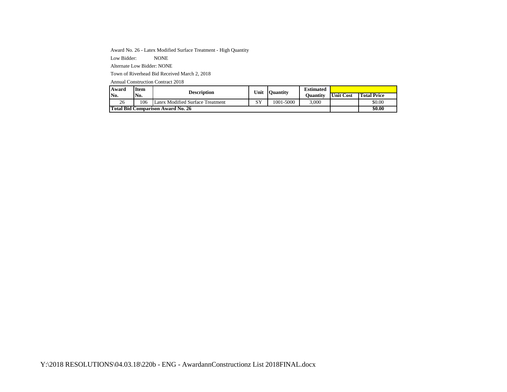Award No. 26 - Latex Modified Surface Treatment - High Quantity

Low Bidder: NONE

Alternate Low Bidder: NONE

Town of Riverhead Bid Received March 2, 2018

| Award                                    | Item | Description                      | Unit       | <b>Ouantity</b> | <b>Estimated</b> |                  |                    |  |
|------------------------------------------|------|----------------------------------|------------|-----------------|------------------|------------------|--------------------|--|
| No.                                      | No.  |                                  |            |                 | Ouantitv         | <b>Unit Cost</b> | <b>Total Price</b> |  |
| 26                                       | 106  | Latex Modified Surface Treatment | C V<br>ر د | 1001-5000       | 3,000            |                  | \$0.00             |  |
| <b>Total Bid Comparison Award No. 26</b> |      |                                  | \$0.00     |                 |                  |                  |                    |  |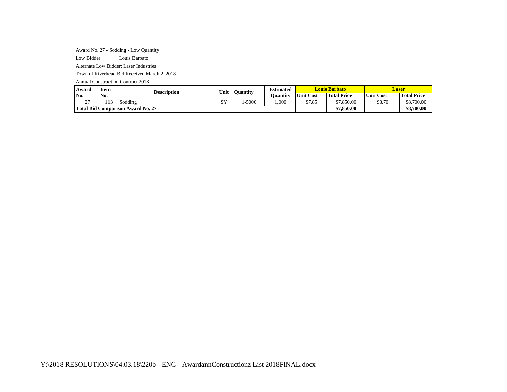Award No. 27 - Sodding - Low Quantity

Low Bidder: Louis Barbato

Alternate Low Bidder: Laser Industries

Town of Riverhead Bid Received March 2, 2018

| Award                                         | <b>Item</b> | <b>Description</b>  | Unit                       | <b>Quantity</b> | <b>Estimated</b> |           | Louis Barbato      | Laser            |                    |  |
|-----------------------------------------------|-------------|---------------------|----------------------------|-----------------|------------------|-----------|--------------------|------------------|--------------------|--|
| IN <sub>0</sub> .                             | No.         |                     |                            |                 | Juantity         | Unit Cost | <b>Total Price</b> | <b>Unit Cost</b> | <b>Total Price</b> |  |
| $\sim$<br><u>.</u>                            | 113         | $\cdots$<br>Sodding | $\alpha x$<br><u>. U s</u> | $-5000$         | .000             | \$7.85    | \$7,850.00         | \$8.70           | \$8,700.00         |  |
| <b>Total Bid</b><br>l Comparison Award No. 27 |             |                     |                            |                 |                  |           | \$7,850.00         |                  | \$8,700.00         |  |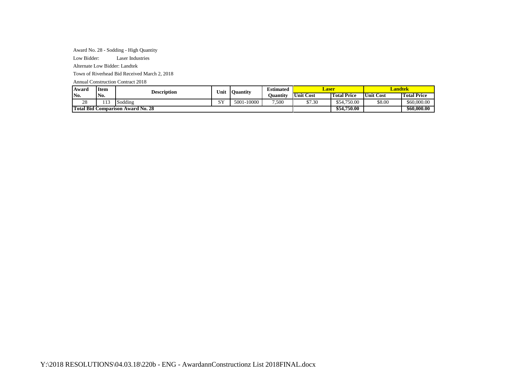Award No. 28 - Sodding - High Quantity

Low Bidder: Laser Industries

Alternate Low Bidder: Landtek

Town of Riverhead Bid Received March 2, 2018

| Award                                              | <b>Item</b>   | Description | Unit                 | <b>Ouantity</b>  | <b>Estimated</b> | Laser     |                    | <b>Landtek</b>   |                    |
|----------------------------------------------------|---------------|-------------|----------------------|------------------|------------------|-----------|--------------------|------------------|--------------------|
| No.                                                | No.           |             |                      |                  | Ouantitv         | Unit Cost | <b>Total Price</b> | <b>Unit Cost</b> | <b>Total Price</b> |
| $\gamma$<br>28                                     | $\sim$<br>113 | Sodding     | C <sub>X</sub><br>D. | $-10000$<br>5001 | 7.500            | \$7.30    | \$54,750.00        | \$8.00           | \$60,000.00        |
| <b>Total Bid</b><br><b>Comparison Award No. 28</b> |               |             |                      |                  |                  |           | \$54,750.00        |                  | \$60,000.00        |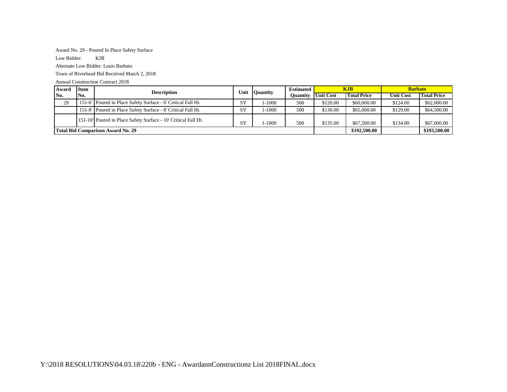## Award No. 29 - Poured In Place Safety Surface

Low Bidder: KJB

Alternate Low Bidder: Louis Barbato

Town of Riverhead Bid Received March 2, 2018

| Award                                    | Item | <b>Description</b>                                             | Unit      | <b>Ouantity</b> | <b>Estimated</b> |                  | KJB.               | <b>Barbato</b>   |                    |
|------------------------------------------|------|----------------------------------------------------------------|-----------|-----------------|------------------|------------------|--------------------|------------------|--------------------|
| No.                                      | No.  |                                                                |           |                 | Ouantity         | <b>Unit Cost</b> | <b>Total Price</b> | <b>Unit Cost</b> | <b>Total Price</b> |
| 29                                       |      | 151-6' Poured in Place Safety Surface - 6' Critical Fall Ht.   | SY        | 1-1000          | 500              | \$120.00         | \$60,000.00        | \$124.00         | \$62,000.00        |
|                                          |      | 151-8' Poured in Place Safety Surface - 8' Critical Fall Ht.   | SY        | 1-1000          | 500              | \$130.00         | \$65,000.00        | \$129.00         | \$64,500.00        |
|                                          |      | 151-10' Poured in Place Safety Surface - 10' Critical Fall Ht. | <b>SY</b> | 1-1000          | 500              | \$135.00         | \$67,500.00        | \$134.00         | \$67,000.00        |
| <b>Total Bid Comparison Award No. 29</b> |      |                                                                |           |                 |                  |                  | \$192,500.00       |                  | \$193,500.00       |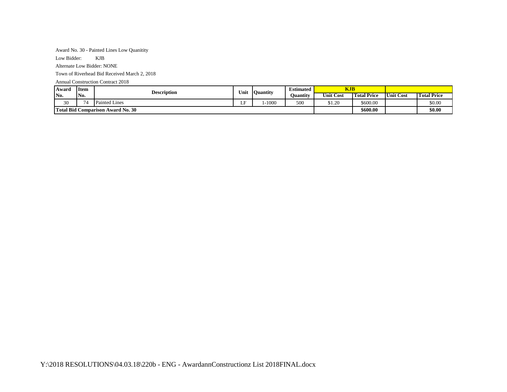#### Award No. 30 - Painted Lines Low Quanitity

Low Bidder: KJB

Alternate Low Bidder: NONE

Town of Riverhead Bid Received March 2, 2018

| Award                                    | <b>Item</b><br><b>Description</b> | Unit                 | Ouantity | <b>Estimated</b> | KJB      |                  |                                  |                  |                    |
|------------------------------------------|-----------------------------------|----------------------|----------|------------------|----------|------------------|----------------------------------|------------------|--------------------|
| No.                                      | No.                               |                      |          |                  | Ouantitv | <b>Unit Cost</b> | <b>CON</b><br><b>Total Price</b> | <b>Unit Cost</b> | <b>Total Price</b> |
| 30                                       |                                   | <b>Painted Lines</b> | ΓE<br>ப  | $-1000$          | 500      | \$1.20           | \$600.00                         |                  | \$0.00             |
| <b>Total Bid Comparison Award No. 30</b> |                                   |                      |          |                  |          |                  | \$600.00                         |                  | \$0.00             |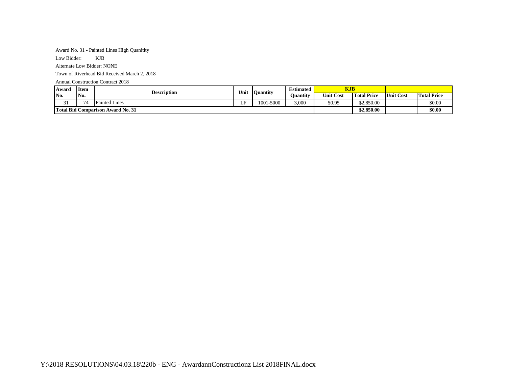#### Award No. 31 - Painted Lines High Quanitity

Low Bidder: KJB

Alternate Low Bidder: NONE

Town of Riverhead Bid Received March 2, 2018

| <b>Award</b>                      | Item | <b>Description</b>   | Unit |           | Ouantity | <b>Estimated</b> | KJB                |           |                    |  |
|-----------------------------------|------|----------------------|------|-----------|----------|------------------|--------------------|-----------|--------------------|--|
| No.                               | No.  |                      |      |           | Ouantitv | <b>Unit Cost</b> | <b>Total Price</b> | Unit Cost | <b>Total Price</b> |  |
| $\sim$<br>ر ر                     |      | <b>Painted Lines</b> | .    | 1001-5000 | 3,000    | \$0.95           | \$2.850.00         |           | \$0.00             |  |
| Total Bid Comparison Award No. 31 |      |                      |      |           |          |                  | \$2,850.00         |           | \$0.00             |  |